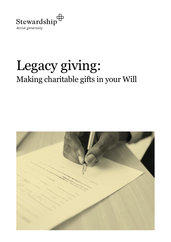

## Legacy giving: Making charitable gifts in your Will

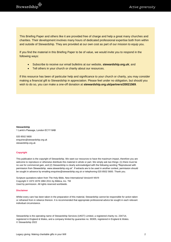This Briefing Paper and others like it are provided free of charge and help a great many churches and charities. Their development involves many hours of dedicated professional expertise both from within and outside of Stewardship. They are provided at our own cost as part of our mission to equip you.

If you find the material in this Briefing Paper to be of value, we would invite you to respond in the following ways:

- Subscribe to receive our email bulletins at our website, **stewardship.org.uk**; and
- Tell others in your church or charity about our resources.

If this resource has been of particular help and significance to your church or charity, you may consider making a financial gift to Stewardship in appreciation. Please feel under no obligation, but should you wish to do so, you can make a one-off donation at **[stewardship.org.uk/partners/20021569](http://www.stewardship.org.uk/partners/20021569)**.

**Stewardship** 1 Lamb's Passage, London EC1Y 8AB

020 8502 5600 enquiries@stewardship.org.uk stewardship.org.uk

#### **Copyright**

This publication is the copyright of Stewardship. We want our resources to have the maximum impact, therefore you are welcome to reproduce or otherwise distribute this material in whole or part. We simply ask two things: (1) there must be no use for commercial gain, and (2) Stewardship is clearly acknowledged with the following wording "Reproduced with permission from Stewardship. www.stewardship.org.uk". If extracts are to be used in another context, permission should be sought in advance by emailing enquiries@stewardship.org.uk or telephoning 020 8502 5600. Thank you.

Scripture quotations taken from The Holy Bible, New International Version® NIV® Copyright © 1973 1978 1984 2011 by Biblica, Inc. TM Used by permission. All rights reserved worldwide.

#### **Disclaimer**

Whilst every care has been taken in the preparation of this material, Stewardship cannot be responsible for action taken or refrained from in reliance thereon. It is recommended that appropriate professional advice be sought in each relevant individual circumstance.

Stewardship is the operating name of Stewardship Services (UKET) Limited, a registered charity no. 234714, registered in England & Wales, and a company limited by guarantee no. 90305, registered in England & Wales. © Stewardship 2022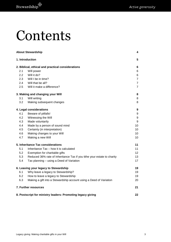# Contents

| <b>About Stewardship</b>                                    |                                                                         |                |  |  |
|-------------------------------------------------------------|-------------------------------------------------------------------------|----------------|--|--|
| 1. Introduction                                             |                                                                         |                |  |  |
| 2. Biblical, ethical and practical considerations           |                                                                         |                |  |  |
| 2.1                                                         | Will power                                                              | 6              |  |  |
| 2.2                                                         | Will it do?                                                             | 6              |  |  |
| 2.3                                                         | Will I be in time?                                                      | $\overline{7}$ |  |  |
| 2.4                                                         | Will that be all?                                                       | $\overline{7}$ |  |  |
| 2.5                                                         | Will it make a difference?                                              | $\overline{7}$ |  |  |
|                                                             | 3. Making and changing your Will                                        | 8              |  |  |
| 3.1                                                         | Will writing                                                            | 8              |  |  |
| 3.2                                                         | Making subsequent changes                                               | 8              |  |  |
|                                                             | 4. Legal considerations                                                 | 9              |  |  |
| 4.1                                                         | Beware of pitfalls!                                                     | 9              |  |  |
| 4.2                                                         | Witnessing the Will                                                     | 9              |  |  |
| 4.3                                                         | Made voluntarily                                                        | 9              |  |  |
| 4.4                                                         | Made by a person of sound mind                                          | 10             |  |  |
| 4.5                                                         | Certainty (in interpretation)                                           | 10             |  |  |
| 4.6                                                         | Making changes to your Will                                             | 10             |  |  |
| 4.7                                                         | Making a new Will                                                       | 10             |  |  |
| 5. Inheritance Tax considerations                           |                                                                         |                |  |  |
| 5.1                                                         | Inheritance Tax - how it is calculated                                  | 11             |  |  |
| 5.2                                                         | Exemption for charitable gifts                                          | 12             |  |  |
| 5.3                                                         | Reduced 36% rate of Inheritance Tax if you tithe your estate to charity | 13             |  |  |
| 5.4                                                         | Tax planning - using a Deed of Variation                                | 17             |  |  |
|                                                             | 6. Leaving your legacy to Stewardship                                   | 19             |  |  |
| 6.1                                                         | Why leave a legacy to Stewardship?                                      | 19             |  |  |
| 6.2                                                         | How to leave a legacy to Stewardship                                    | 19             |  |  |
| 6.3                                                         | Making a gift into a Stewardship account using a Deed of Variation      | 20             |  |  |
| 7. Further resources                                        |                                                                         |                |  |  |
| 8. Postscript for ministry leaders: Promoting legacy giving |                                                                         |                |  |  |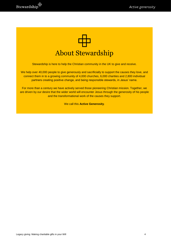

<span id="page-3-0"></span>Stewardship is here to help the Christian community in the UK to give and receive.

We help over 40,000 people to give generously and sacrificially to support the causes they love, and connect them in to a growing community of 4,000 churches, 6,000 charities and 2,800 individual partners creating positive change, and being responsible stewards, in Jesus' name.

For more than a century we have actively served those pioneering Christian mission. Together, we are driven by our desire that the wider world will encounter Jesus through the generosity of his people and the transformational work of the causes they support.

We call this **Active Generosity**.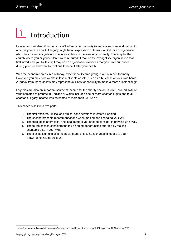## <span id="page-4-0"></span>Introduction

Leaving a charitable gift under your Will offers an opportunity to make a substantial donation to a cause you care about. A legacy might be an expression of thanks to God for an organisation which has played a significant role in your life or in the lives of your family. This may be the church where you or your children were nurtured; it may be the evangelistic organisation that first introduced you to Jesus; it may be an organisation overseas that you have supported during your life and want to continue to benefit after your death.

With the economic pressures of today, exceptional lifetime giving is out of reach for many. However, you may hold wealth in less realisable assets, such as a business or your own home. A legacy from these assets may represent your best opportunity to make a more substantial gift.

Legacies are also an important source of income for the charity sector. In 2020, around 14% of Wills admitted to probate in England & Wales included one or more charitable gifts and total charitable legacy income was estimated at more than £3.36bn.<sup>1</sup>

This paper is split into five parts:

- 1. The first explores Biblical and ethical considerations in estate planning.
- 2. The second presents recommendations when making and changing your Will.
- 3. The third looks at practical and legal matters you need to consider in drawing up a Will.
- 4. The fourth section considers the tax planning opportunities afforded by making charitable gifts in your Will.
- 5. The final section explains the advantages of leaving a charitable legacy to your Stewardship Giving Account.

<sup>1</sup> <sup>1</sup> <https://smeeandford.com/whitepaper/post?pitem=smee-ford-legacy-trends-report-2021> (accessed 29 November 2021)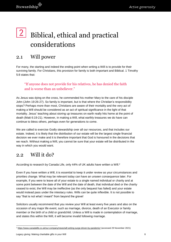## <span id="page-5-0"></span> $2|$ Biblical, ethical and practical considerations

### <span id="page-5-1"></span>2.1 Will power

For many, the starting and indeed the ending point when writing a Will is to provide for their surviving family. For Christians, this provision for family is both important and Biblical. 1 Timothy 5:8 states that:

#### "If anyone does not provide for his relatives, he has denied the faith and is worse than an unbeliever."

As Jesus was dying on the cross, he commended his mother Mary to the care of his disciple John (John 19:26-27). So family is important, but is that where the Christian's responsibility stops? Perhaps more than most, Christians are aware of their mortality and the very act of making a Will should be considered as an act of spiritual significance in the light of that mortality. Jesus' teaching about storing up treasures on earth really hits home at the point of death (Matt 6:19-21). However, in making a Will, what earthly treasures we do have can continue to bless others, perhaps even for generations to come.

We are called to exercise Godly stewardship over all our resources, and that includes our estate. Indeed, it is likely that the distribution of our estate will be the largest single financial decision we ever make and it is therefore important that God is honoured in the decisions that we reach. Without making a Will, you cannot be sure that your estate will be distributed in the way in which you would want.

### <span id="page-5-2"></span> $2.2 \times 10^{11}$  it do?

According to research by Canada Life, only 44% of UK adults have written a Will.<sup>2</sup>

Even if you have written a Will, it is essential to keep it under review as your circumstances and priorities change. What may be relevant today can have an unseen consequence later. For example, if you were to leave all of your estate to a single named individual or charity and at some point between the date of the Will and the date of death, that individual died or the charity ceased to exist, the Will may be ineffective (as the only bequest has failed) and your estate would instead pass under the intestacy rules. Wills can be quite inflexible. It is not possible to say "that is not what I meant" from beyond the grave!

Solicitors usually recommend that you review your Will at least every five years and also on the occasion of any major life event, such as marriage, divorce, death of an Executor or family member or the birth of a child or grandchild. Unless a Will is made in contemplation of marriage, and states this within the Will, it will become invalid following marriage.

<sup>1</sup> <sup>2</sup> <https://www.canadalife.co.uk/our-company/news/will-writing-surge-driven-by-pandemic/> (accessed 29 November 2021)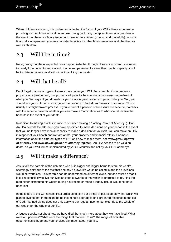When children are young, it is understandable that the focus of your Will is likely to centre on providing for their future education and well being (including the appointment of a guardian in the event that there is a family tragedy). However, as children grow up and (hopefully) become financially independent, you may consider legacies for other family members and charities, as well as children.

## <span id="page-6-0"></span>2.3 Will I be in time?

Recognising that the unexpected does happen (whether through illness or accident), it is never too early for an adult to make a Will. If a person permanently loses their mental capacity, it will be too late to make a valid Will without involving the courts.

### <span id="page-6-1"></span>2.4 Will that be all?

Don't forget that not all types of assets pass under your Will. For example, if you co-own a property as a 'joint tenant', that property will pass to the surviving co-owner(s) regardless of what your Will says. If you do wish for your share of joint property to pass under your Will, you should ask your solicitor to arrange for the property to be held as 'tenants in common'. This is usually a straightforward process. If you're part of a pension or life assurance scheme, do check with the scheme provider whether you can make a 'nomination' as to who should receive the benefits in the event of your death.

In addition to making a Will, it is wise to consider making a 'Lasting Power of Attorney' ('LPA'). An LPA permits the attorneys you have appointed to make decisions on your behalf in the event that you no longer have mental capacity to make a decision for yourself. You can make an LPA in respect of your health and welfare and/or your property and financial affairs. For more information about the different types of LPA and how to make them, see **[www.gov.uk/power](http://www.gov.uk/power-of-attorney)[of-attorney](http://www.gov.uk/power-of-attorney)** and **[www.gov.uk/power-of-attorney/register](http://www.gov.uk/power-of-attorney/register)**. An LPA ceases to be valid on death, so your Will will be implemented by your Executors and not by your LPA attorneys.

## <span id="page-6-2"></span>2.5 Will it make a difference?

Jesus told the parable of the rich man who built bigger and bigger barns to store his wealth, seemingly oblivious to the fact that one day his own life would be called in and the provisions would be worthless. This parable can be understood on different levels, but one must be that it is our responsibility to live our lives as good stewards of that which is entrusted to us. Had the man either distributed his wealth during his lifetime or made a legacy gift, all would not have been lost.

In the letters to the Corinthians Paul urges us to plan our giving; to put aside early that which we plan to give so that there might be no last minute begrudges or ill prepared response to the call of God. Planned giving does not only apply to our regular income, but extends to the whole of our wealth for the whole of our life.

A legacy speaks not about how we have died, but much more about how we have lived. What were our priorities? What were the things that mattered to us? The range of available opportunities is huge and your choices say much about your life.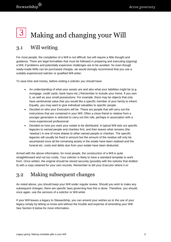## <span id="page-7-0"></span>Making and changing your Will

## <span id="page-7-1"></span>3.1 Will writing

For most people, the completion of a Will is not difficult, but will require a little thought and guidance. There are legal formalities that must be followed in preparing and executing (signing) a Will, if problems and potentially expensive challenges are to be avoided. So even though ready-made Wills can be purchased cheaply, we would strongly recommend that you use a suitably experienced solicitor or qualified Will writer.

To save time and money, before visiting a solicitor you should have:

- An understanding of what your assets are and also what your liabilities might be (e.g. mortgage, credit cards, bank loans etc.) Remember to include your home, if you own it, as well as your small possessions. For example, there may be objects that only have sentimental value that you would like a specific member of your family to inherit. Equally, you may want to give individual valuables to specific people.
- Decided on who your Executors will be. These are people that will carry out the instructions that are contained in your Will. Often a close friend or relative from a younger generation is selected to carry out this role, perhaps in association with a more experienced professional.
- Decided on how you want your estate to be distributed. A typical Will sets out specific legacies to named people and charities first, and then leaves what remains (the 'residue') in one of more shares to other named people or charities. The specific legacies will usually be fixed in amount but the amount of the residue will only be ascertained once all the remaining assets in the estate have been realised and the funeral etc. costs and debts due from your estate have been deducted.

Armed with the above information, for most people, the construction of a Will is quite straightforward and not too costly. Your solicitor is likely to have a standard template to work from. Once written, the original should be stored securely (possibly with the solicitor that drafted it) with a copy retained for your own records. Remember to tell your Executor where it is!

## <span id="page-7-2"></span>3.2 Making subsequent changes

As noted above, you should keep your Will under regular review. Should you wish to make any subsequent changes, there are specific laws governing how this is done. Therefore, you should, once again, use the services of a solicitor or Will writer.

If your Will leaves a legacy to Stewardship, you can amend your wishes as to the use of your legacy simply by letting us know and without the trouble and expense of amending your Will. See Section 6 below for more information.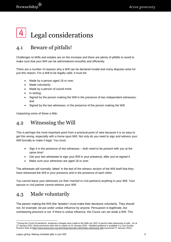<span id="page-8-0"></span>

## <span id="page-8-1"></span>4.1 Beware of pitfalls!

Challenges to Wills and estates are on the increase and there are plenty of pitfalls to avoid to make sure that your Will can be administered smoothly and efficiently.

There are a number of reasons why a Will can be declared invalid and many disputes arise for just this reason. For a Will to be legally valid, it must be:

- Made by a person aged 18 or over;
- Made voluntarily;
- Made by a person of sound mind;
- In writing;
- Signed by the person making the Will in the presence of two independent witnesses; and
- Signed by the two witnesses, in the presence of the person making the Will.

Unpacking some of these a little:

### <span id="page-8-2"></span>4.2 Witnessing the Will

This is perhaps the most important point from a practical point of view because it is so easy to get this wrong, especially with a home spun Will. Not only do you need to sign and witness your Will formally to make it legal. You must:

- Sign it in the presence of two witnesses both need to be present with you at the same time<sup>3</sup>
- Get your two witnesses to sign your Will in your presence, after you've signed it
- Make sure your witnesses are aged 18 or over.

The witnesses will normally 'attest' in the text of the witness section of the Will itself that they have witnessed the Will in your presence and in the presence of each other.

You cannot leave your witnesses (or their married or civil partners) anything in your Will. Your spouse or civil partner cannot witness your Will.

## <span id="page-8-3"></span>4.3 Made voluntarily

The person making the Will (the 'testator') must make their decisions voluntarily. They should not, for example, be put under undue influence by anyone. Persuasion is legitimate, but overbearing pressure is not. If there is undue influence, the Courts can set aside a Will. This

1

<sup>&</sup>lt;sup>3</sup> During the Covid-19 pandemic, temporary changes were made to the Wills Act 1837 to permit video witnessing of wills. As at 27 January 2022, these provisions were due to expire on 31 January 2024. Detailed guidance is available in a Law Society Practice Note a[t https://www.lawsociety.org.uk/en/topics/private-client/video-witnessing-wills](https://www.lawsociety.org.uk/en/topics/private-client/video-witnessing-wills) (accessed 27 January 2022).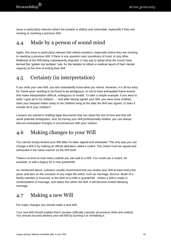issue is particularly relevant where the testator is elderly and vulnerable, especially if they are revising or rewriting a previous Will.

## <span id="page-9-0"></span>4.4 Made by a person of sound mind

Again, this issue is particularly relevant with elderly testators, especially where they are revising or rewriting a previous Will. If there is any question over soundness of mind, or any other likelihood of the Will being subsequently disputed, it may pay to adopt what the courts have termed the "golden but tactless" rule: for the testator to obtain a medical report of their mental capacity at the time of writing their Will.

## <span id="page-9-1"></span>4.5 Certainty (in interpretation)

If you write your own Will, you will undoubtedly know what you intend. However, it is all too easy for 'home spun' wording to be found to be ambiguous, or not to have anticipated future events that make interpretation difficult, ambiguous or invalid. To take a simple example, if you were to write "I give all to my children ..." and after having signed your Will, you have more children, does your bequest relate solely to the children living at the date the Will was signed, or does it include all of your children?

Lawyers are trained in drafting legal documents that can stand the test of time and that will avoid potential ambiguities. And, by having your Will professionally drafted, you can always discuss anticipated changes in circumstances with your solicitor.

## <span id="page-9-2"></span>4.6 Making changes to your Will

You cannot simply amend your Will after it's been signed and witnessed. The only way you can change a Will is by making an official alteration called a codicil. The codicil must be signed and witnessed in the same manner as the Will itself.

There's no limit on how many codicils you can add to a Will. You could use a codicil, for example, to add a legacy for a new grandchild.

As mentioned above, solicitors usually recommend that you review your Will at least every five years and also on the occasion of any major life event, such as marriage, divorce, death of a family member or Executor or the birth of a child or grandchild. Unless a Will is made in contemplation of marriage, and states this within the Will, it will become invalid following marriage.

### <span id="page-9-3"></span>4.7 Making a new Will

For major changes you should make a new Will.

Your new Will should explain that it revokes (officially cancels) all previous Wills and codicils. You should securely destroy your old Will by burning it or shredding it.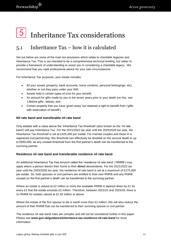## <span id="page-10-0"></span>Inheritance Tax considerations

## <span id="page-10-1"></span>5.1 Inheritance Tax – how it is calculated

Set out below are some of the main tax provisions which relate to charitable legacies and Inheritance Tax. This is not intended to be a comprehensive technical briefing, but rather to provide a framework of understanding to assist you in considering a charitable legacy. We recommend that you seek professional advice for your own circumstances.

For Inheritance Tax purposes, your estate includes:

- All your assets (property, bank accounts, home contents, personal belongings, etc), whether or not they pass under your Will;
- Assets held in certain types of trust for your benefit;
- An amount for gifts made by you in the seven years prior to your death (on this, see 'Lifetime gifts', below); and
- Certain property that you have 'given away' but retained a right to benefit from ('gifts with reservation of benefit').

#### **Nil rate band and transferable nil rate band**

Only estates with a value above the 'Inheritance Tax threshold' (also known as the 'nil rate band') will pay Inheritance Tax. For the 2021/2022 tax year until the 2025/2026 tax year, the Inheritance Tax threshold is set at £325,000 per estate. For married couples and those in a registered civil partnership, this threshold can effectively be doubled on the second death to up to £650,000, as any unused threshold from the first partner's death can be transferred to the surviving partner.

#### **Residence nil rate band and transferable residence nil rate band**

An additional Inheritance Tax free amount called the 'residence nil rate band' ('RNRB') may apply where a person leaves their home to their **direct** descendants. For the 2021/2022 tax year until the 2025/2026 tax year, the residence nil rate band is set at a maximum of £175,000 per estate. So, both spouses or civil partners are entitled to their own RNRB and any RNRB unused on the first partner's death can be transferred to the surviving partner.

Where an estate is valued at £2 million or more the available RNRB is tapered down by £1 for every £2 that the estate exceeds £2 million. Therefore, between 2021/22 and 2025/26, there is no RNRB for estates valued at £2.35 million or above.

Where the estate of the first spouse to die is worth more than £2 million, this will also reduce the amount of their RNRB that can be transferred to their surviving spouse or civil partner.

The residence nil rate band rules are complex and will not be considered further in this paper. Please see **[www.gov.uk/guidance/inheritance-tax-residence-nil-rate-band](http://www.gov.uk/guidance/inheritance-tax-residence-nil-rate-band)** for more information.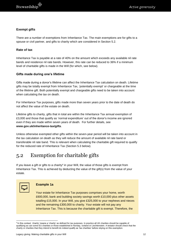#### **Exempt gifts**

There are a number of exemptions from Inheritance Tax. The main exemptions are for gifts to a spouse or civil partner, and gifts to charity which are considered in Section 5.2.

#### **Rate of tax**

Inheritance Tax is payable at a rate of 40% on the amount which exceeds any available nil rate bands and residence nil rate bands. However, this rate can be reduced to 36% if a minimum level of charitable gifts is made in the Will (for which, see below).

#### **Gifts made during one's lifetime**

Gifts made during a donor's lifetime can affect the Inheritance Tax calculation on death. Lifetime gifts may be totally exempt from Inheritance Tax, 'potentially exempt' or chargeable at the time of the lifetime gift. Both potentially exempt and chargeable gifts need to be taken into account when calculating the tax on death.

For Inheritance Tax purposes, gifts made more than seven years prior to the date of death do not affect the value of the estate on death.

Lifetime gifts to charity, gifts that in total are within the Inheritance Tax annual exemption of £3,000 and those that qualify as 'normal expenditure' out of the donor's income are ignored even if they are made within seven years of death. For further details, see **[www.gov.uk/inheritance-tax/gifts](http://www.gov.uk/inheritance-tax/gifts)**.

Unless otherwise exempted other gifts within the seven-year period will be taken into account in the tax calculation on death as they will reduce the amount of available nil rate band or transferable nil rate band. This is relevant when calculating the charitable gift required to qualify for the reduced rate of Inheritance Tax (Section 5.3 below).

### <span id="page-11-0"></span>5.2 Exemption for charitable gifts

If you leave a gift or gifts to a charity<sup>4</sup> in your Will, the value of those gifts is exempt from Inheritance Tax. This is achieved by deducting the value of the gift(s) from the value of your estate.



1

#### **Example 1a**

Your estate for Inheritance Tax purposes comprises your home, worth £600,000, bank and building society savings worth £10,000 plus other assets totalling £15,000. In your Will, you give £325,000 to your nephews and nieces and the remaining £300,000 to charity. Your estate will not pay any Inheritance Tax. This is because the charitable gift is exempt. Therefore, the

<sup>4</sup> In this context, 'charity' means a 'charity' as defined for tax purposes. In practice all UK charities should be capable of qualifying as can some EU charities or those established in Norway, Iceland or Liechtenstein. A testator should check that the charity or charities that they intend to benefit do indeed qualify as 'tax charities' before relying on this exemption.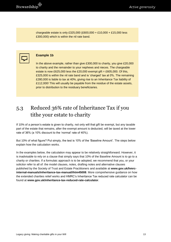chargeable estate is only £325,000 (£600,000 + £10,000 + £15,000 less £300,000) which is within the nil rate band.



#### **Example 1b**

In the above example, rather than give £300,000 to charity, you give £20,000 to charity and the remainder to your nephews and nieces. The chargeable estate is now £625,000 less the £20,000 exempt gift = £605,000. Of this, £325,000 is within the nil rate band and is 'charged' tax at 0%. The remaining £280,000 is liable to tax at 40%, giving rise to an Inheritance Tax liability of £112,000! This will usually be payable from the residue of the estate assets, prior to distribution to the residuary beneficiaries.

## <span id="page-12-0"></span>5.3 Reduced 36% rate of Inheritance Tax if you tithe your estate to charity

If 10% of a person's estate is given to charity, not only will that gift be exempt, but any taxable part of the estate that remains, after the exempt amount is deducted, will be taxed at the lower rate of 36% (a 10% discount to the 'normal' rate of 40%).

But 10% of what figure? Put simply, the test is 10% of the 'Baseline Amount'. The steps below explain how the calculation works.

In the examples below, the calculation may appear to be relatively straightforward. However, it is inadvisable to rely on a clause that simply says that 10% of the Baseline Amount is to go to a charity or charities. If a formulaic approach is to be adopted, we recommend that you, or your solicitor refer to all of: the model clauses, notes, drafting notes and alternative clauses published by the Society of Trust and Estate Practitioners and available at **[www.gov.uk/hmrc](http://www.gov.uk/hmrc-internal-manuals/inheritance-tax-manual/ihtm45008)[internal-manuals/inheritance-tax-manual/ihtm45008](http://www.gov.uk/hmrc-internal-manuals/inheritance-tax-manual/ihtm45008)**. More comprehensive guidance on how the extended charities relief works and HMRC's Inheritance Tax reduced rate calculator can be found at **[www.gov.uk/inheritance-tax-reduced-rate-calculator](http://www.gov.uk/inheritance-tax-reduced-rate-calculator)**.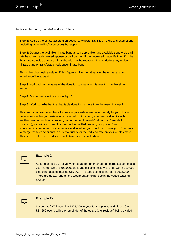In its simplest form, the relief works as follows:

**Step 1:** Add up the estate assets then deduct any debts, liabilities, reliefs and exemptions (including the charities' exemption) that apply.

**Step 2:** Deduct the available nil rate band and, if applicable, any available transferable nil rate band from a deceased spouse or civil partner. If the deceased made lifetime gifts, then the standard value of these nil rate bands may be reduced. Do not deduct any residence nil rate band or transferable residence nil rate band.

This is the 'chargeable estate'. If this figure is nil or negative, stop here: there is no Inheritance Tax to pay!

**Step 3:** Add back in the value of the donation to charity – this result is the 'baseline amount'.

**Step 4:** Divide the baseline amount by 10.

**Step 5:** Work out whether the charitable donation is more than the result in step 4.

This calculation assumes that all assets in your estate are owned solely by you. If you have assets within your estate which are held in trust for you or are held jointly with another person (such as a property owned as 'joint tenants' rather than 'tenants in common'), you will also need to consider the 'settled property component' and 'survivorship component' of your estate and whether you should empower your Executors to merge these components in order to qualify for the reduced rate on your whole estate. This is a complex area and you should take professional advice.



#### **Example 2**

As for example 1a above, your estate for Inheritance Tax purposes comprises your home, worth £600,000, bank and building society savings worth £10,000 plus other assets totalling £15,000. The total estate is therefore £625,000. There are debts, funeral and testamentary expenses in the estate totalling £7,500.



#### **Example 2a**

In your *draft* Will, you give £325,000 to your four nephews and nieces (i.e. £81,250 each), with the remainder of the estate (the 'residue') being divided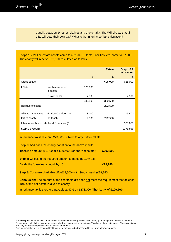equally between 14 other relatives and one charity. The Will directs that all gifts will bear their own tax<sup>5</sup>. What is the Inheritance Tax calculation?

**Steps 1 & 2:** The estate assets come to £625,000. Debts, liabilities, etc. come to £7,500. The charity will receive £19,500 calculated as follows:

|                                                          |                                  |                   | <b>Estate</b> | <b>Step 1 &amp; 2</b><br>calculation |
|----------------------------------------------------------|----------------------------------|-------------------|---------------|--------------------------------------|
|                                                          |                                  | £                 | £             | £                                    |
| Gross estate                                             |                                  |                   | 625,000       | 625,000                              |
| Less:                                                    | Nephews/nieces'<br>legacies      | 325,000           |               |                                      |
|                                                          | Estate debts                     | 7,500             |               | 7,500                                |
|                                                          |                                  | 332,500           | 332,500       |                                      |
| Residue of estate                                        |                                  |                   | 292,500       |                                      |
| Gifts to 14 relatives<br>Gift to charity                 | £292,500 divided by<br>15 (each) | 273,000<br>19,500 | 292,500       | 19,500                               |
| Inheritance Tax nil rate band ('threshold') <sup>6</sup> |                                  |                   |               |                                      |
| Step 1-2 result:                                         |                                  |                   |               |                                      |

Inheritance tax is due on £273,000, subject to any further reliefs.

**Step 3:** Add back the charity donation to the above result:

'Baseline amount' (£273,000 + £19,500) (or, the 'net estate') **£292,500**

**Step 4:** Calculate the required amount to meet the 10% test:

Divide the 'baseline amount' by 10 **£29,250**

**Step 5:** Compare charitable gift (£19,500) with Step 4 result (£29,250)

**Conclusion:** The amount of the charitable gift does not meet the requirement that at least 10% of the net estate is given to charity.

Inheritance tax is therefore payable at 40% on £273,000. That is, tax of **£109,200**.

1

<sup>5</sup> If a Will provides for legacies to be free of tax and a charitable (or other tax exempt) gift forms part of the estate at death, a 'grossing-up' calculation may be necessary which will increase the Inheritance Tax due on the estate overall. The calculations are very complex and professional advice will be needed.

 $6$  As for example 1b, it is assumed that there is no amount to be transferred to you from a former spouse.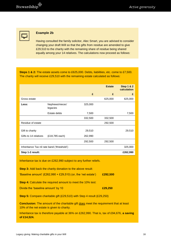${\bf Stewardship}^{\begin{tabular}{c}\raisebox{-2pt}{\footnotesize\textbf{}}\\ \raisebox{-2pt}{\footnotesize\textbf{}}\\ \raisebox{-2pt}{\footnotesize\textbf{}} \end{tabular}}$ 



#### **Example 2b**

Having consulted the family solicitor, Alec Smart, you are advised to consider changing your draft Will so that the gifts from residue are amended to give £29,510 to the charity with the remaining share of residue being shared equally among your 14 relatives. The calculations now proceed as follows:

**Steps 1 & 2:** The estate assets come to £625,000. Debts, liabilities, etc. come to £7,500. The charity will receive £29,510 with the remaining estate calculated as follows:

|                                             |                             |                   | <b>Estate</b> | <b>Step 1 &amp; 2</b><br>calculation |
|---------------------------------------------|-----------------------------|-------------------|---------------|--------------------------------------|
|                                             |                             | £                 | £             | £                                    |
| Gross estate                                |                             |                   | 625,000       | 625,000                              |
| Less:                                       | Nephews/nieces'<br>legacies | 325,000           |               |                                      |
|                                             | Estate debts                | 7,500             |               | 7,500                                |
|                                             |                             | 332,500           | 332,500       |                                      |
| Residue of estate                           |                             |                   | 292,500       |                                      |
| Gift to charity<br>Gifts to 14 relatives    | (£18,785 each)              | 29,510<br>262,990 |               | 29,510                               |
|                                             |                             | 292,500           | 292,500       |                                      |
| Inheritance Tax nil rate band ('threshold') |                             |                   | 325,000       |                                      |
| Step 1-2 result:                            |                             |                   | £262,990      |                                      |

Inheritance tax is due on £262,990 subject to any further reliefs.

| <b>Step 3:</b> Add back the charity donation to the above result:      |          |  |  |  |
|------------------------------------------------------------------------|----------|--|--|--|
| 'Baseline amount' (£262,990 + £29,510) (or, the 'net estate')          | £292,500 |  |  |  |
| <b>Step 4:</b> Calculate the required amount to meet the 10% test:     |          |  |  |  |
| Divide the 'baseline amount' by 10                                     | £29,250  |  |  |  |
| Step 5: Compare charitable gift (£29,510) with Step 4 result (£29,250) |          |  |  |  |

**Conclusion:** The amount of the charitable gift does meet the requirement that at least 10% of the net estate is given to charity.

Inheritance tax is therefore payable at 36% on £262,990. That is, tax of £94,676, **a saving of £14,524.**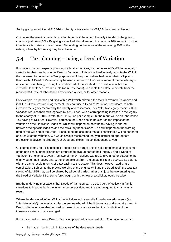So, by giving an additional £10,010 to charity, a tax saving of £14,524 has been achieved.

Of course, the result is particularly advantageous if the amount initially intended to be given to charity is just below 10%. By giving a small additional amount to charity, a 10% reduction in the inheritance tax rate can be achieved. Depending on the value of the remaining 90% of the estate, a healthy tax saving may be achievable.

## <span id="page-16-0"></span>5.4 Tax planning – using a Deed of Variation

It is not uncommon, especially amongst Christian families, for the deceased's Will to be legally varied after their death, using a 'Deed of Variation'. This works to effectively re-write the Will of the deceased for Inheritance Tax purposes as if they themselves had varied their Will prior to their death. A Deed of Variation may be used in order to 'tithe' one of more of the beneficiary's entitlements to charity, to bring the taxable part of the estate down in value to within the £325,000 Inheritance Tax threshold (or, nil rate band), to enable the estate to benefit from the reduced 36% rate of Inheritance Tax outlined above, or for other reasons.

For example, if a person had died with a Will which mirrored the facts in example 2a above and, if all the 14 relatives are in agreement, they can use a Deed of Variation, post death, to both increase the legacy received by the charity and to increase their 'after tax' legacy receipts. If the Variation reduces their own legacies by £715 each, with a corresponding increase in the legacy to the charity of £10,010 in total (£715 x 14), as per example 2b, the result will be an Inheritance Tax saving of £14,524. However, parties to the Deed should be clear on the impact of the variation on their individual legacies, which will depend on how the tax saving is shared between the specific legacies and the residuary beneficiaries. This will depend on the wording both of the Will and of the Deed. It should not be assumed that all beneficiaries will be better off as a result of the variation. We would always recommend that you instruct an appropriate professional advisor to prepare your Deed and explain its consequences to you.

Of course, it may be tricky getting 14 people all to agree! This is not a problem if at least some of the non-charity beneficiaries are prepared to give up part of their legacy using a Deed of Variation. For example, even if just two of the 14 relatives wanted to give another £5,005 to the charity out of their legacy share, the charitable gift from the estate still totals £10,010 as before, with the same result in terms of a tax saving to the estate. This does however, add a little complication. Subject to the precise wording of the original Will and the Deed itself, the total tax saving of £14,525 may well be shared by all beneficiaries rather than just the two entering into the Deed of Variation! So, some forethought, with the help of a solicitor, would be wise.

But the underlying message is that Deeds of Variation can be used very effectively in family situations to improve both the inheritance tax position, and the amount going to charity as a result.

Where the deceased left no Will or the Will does not cover all of the deceased's assets (an 'intestate estate') the intestacy rules determine who will inherit the estate and to what extent. A Deed of Variation can also be used in these circumstances so that the distribution of the intestate estate can be rearranged.

It's usually best to have a Deed of Variation prepared by your solicitor. The document must:

Be made in writing within two years of the deceased's death;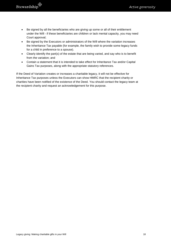- Be signed by all the beneficiaries who are giving up some or all of their entitlement under the Will - if these beneficiaries are children or lack mental capacity, you may need Court approval;
- Be signed by the Executors or administrators of the Will where the variation increases the Inheritance Tax payable (for example, the family wish to provide some legacy funds for a child in preference to a spouse).
- Clearly identify the part(s) of the estate that are being varied, and say who is to benefit from the variation; and
- Contain a statement that it is intended to take effect for Inheritance Tax and/or Capital Gains Tax purposes, along with the appropriate statutory references.

If the Deed of Variation creates or increases a charitable legacy, it will not be effective for Inheritance Tax purposes unless the Executors can show HMRC that the recipient charity or charities have been notified of the existence of the Deed. You should contact the legacy team at the recipient charity and request an acknowledgement for this purpose.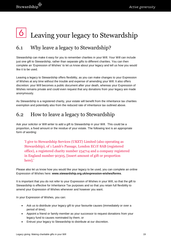## <span id="page-18-0"></span>Leaving your legacy to Stewardship

## <span id="page-18-1"></span>6.1 Why leave a legacy to Stewardship?

Stewardship can make it easy for you to remember charities in your Will. Your Will can include just one gift to Stewardship, rather than separate gifts to different charities. You can then complete an 'Expression of Wishes' to let us know about your legacy and tell us how you would like it to be used.

Leaving a legacy to Stewardship offers flexibility, as you can make changes to your Expression of Wishes at any time without the trouble and expense of amending your Will. It also offers discretion: your Will becomes a public document after your death, whereas your Expression of Wishes remains private and could even request that any donations from your legacy are made anonymously.

As Stewardship is a registered charity, your estate will benefit from the inheritance tax charities exemption and potentially also from the reduced rate of inheritance tax outlined above.

## <span id="page-18-2"></span>6.2 How to leave a legacy to Stewardship

Ask your solicitor or Will writer to add a gift to Stewardship in your Will. This could be a proportion, a fixed amount or the residue of your estate. The following text is an appropriate form of wording:

'I give to Stewardship Services (UKET) Limited (also operating as Stewardship), of 1 Lamb's Passage, London EC1Y 8AB (registered office), a registered charity number 234714 and a company registered in England number 90305, [insert amount of gift or proportion here].'

Please also let us know how you would like your legacy to be used, you can complete an online Expression of Wishes here: **[www.stewardship.org.uk/expression-wishes/forms](http://www.stewardship.org.uk/expression-wishes/forms)**.

It is important that you do not refer to your Expression of Wishes in your Will, so that the gift to Stewardship is effective for Inheritance Tax purposes and so that you retain full flexibility to amend your Expression of Wishes whenever and however you want.

In your Expression of Wishes, you can:

- Ask us to distribute your legacy gift to your favourite causes (immediately or over a period of time);
- Appoint a friend or family member as your successor to request donations from your legacy fund to causes nominated by them; or
- Entrust your legacy to Stewardship to distribute at our discretion.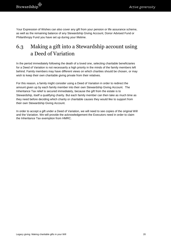Your Expression of Wishes can also cover any gift from your pension or life assurance scheme, as well as the remaining balance of any Stewardship Giving Account, Donor Advised Fund or Philanthropy Fund you have set up during your lifetime.

## <span id="page-19-0"></span>6.3 Making a gift into a Stewardship account using a Deed of Variation

In the period immediately following the death of a loved one, selecting charitable beneficiaries for a Deed of Variation is not necessarily a high priority in the minds of the family members left behind. Family members may have different views on which charities should be chosen, or may wish to keep their own charitable giving private from their relatives.

For this reason, a family might consider using a Deed of Variation in order to redirect the amount given up by each family member into their own Stewardship Giving Account. The Inheritance Tax relief is secured immediately, because the gift from the estate is to Stewardship, itself a qualifying charity. But each family member can then take as much time as they need before deciding which charity or charitable causes they would like to support from their own Stewardship Giving Account.

In order to accept a gift under a Deed of Variation, we will need to see copies of the original Will and the Variation. We will provide the acknowledgement the Executors need in order to claim the Inheritance Tax exemption from HMRC.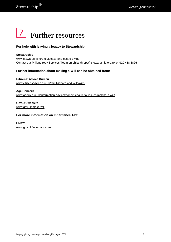<span id="page-20-0"></span>

#### **For help with leaving a legacy to Stewardship:**

#### **Stewardship** [www.stewardship.org.uk/legacy-and-estate-giving](http://www.stewardship.org.uk/legacy-and-estate-giving) Contact our Philanthropy Services Team on philanthropy@stewardship.org.uk or **020 418 8896**

#### **Further information about making a Will can be obtained from:**

**Citizens' Advice Bureau** [www.citizensadvice.org.uk/family/death-and-wills/wills](http://www.citizensadvice.org.uk/family/death-and-wills/wills)

**Age Concern** [www.ageuk.org.uk/information-advice/money-legal/legal-issues/making-a-will/](http://www.ageuk.org.uk/information-advice/money-legal/legal-issues/making-a-will/)

**Gov.UK website** [www.gov.uk/make-will](https://www.gov.uk/make-will)

#### **For more information on Inheritance Tax:**

#### **HMRC**

[www.gov.uk/inheritance-tax](http://www.gov.uk/inheritance-tax)